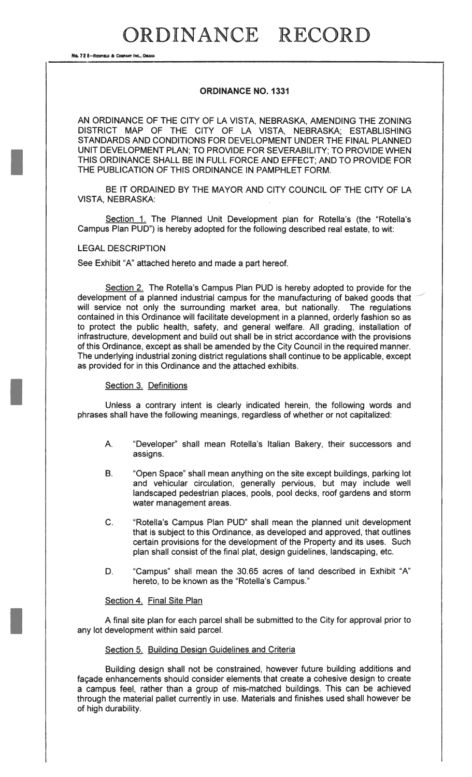No. 72 8-Redfield & Company Inc., OMAH

### ORDINANCE NO. 1331

AN ORDINANCE OF THE CITY OF LA VISTA, NEBRASKA, AMENDING THE ZONING DISTRICT MAP OF THE CITY OF LA VISTA, NEBRASKA; ESTABLISHING STANDARDS AND CONDITIONS FOR DEVELOPMENT UNDER THE FINAL PLANNED UNIT DEVELOPMENT PLAN; TO PROVIDE FOR SEVERABILITY; TO PROVIDE WHEN THIS ORDINANCE SHALL BE IN FULL FORCE AND EFFECT; AND TO PROVIDE FOR THE PUBLICATION OF THIS ORDINANCE IN PAMPHLET FORM.

BE IT ORDAINED BY THE MAYOR AND CITY COUNCIL OF THE CITY OF LA VISTA, NEBRASKA:

Section 1. The Planned Unit Development plan for Rotella's (the "Rotella's Campus Plan PUD") is hereby adopted for the following described real estate, to wit:

### LEGAL DESCRIPTION

See Exhibit "A" attached hereto and made a part hereof.

Section 2. The Rotella's Campus Plan PUD is hereby adopted to provide for the development of a planned industrial campus for the manufacturing of baked goods that will service not only the surrounding market area, but nationally. The regulations contained in this Ordinance will facilitate development in a planned, orderly fashion so as to protect the public health, safety, and general welfare. All grading, installation of infrastructure, development and build out shall be in strict accordance with the provisions of this Ordinance, except as shall be amended by the City Council in the required manner. The underlying industrial zoning district regulations shall continue to be applicable, except as provided for in this Ordinance and the attached exhibits.

#### Section 3. Definitions

Unless a contrary intent is clearly indicated herein, the following words and phrases shall have the following meanings, regardless of whether or not capitalized:

- A. "Developer" shall mean Rotella's Italian Bakery, their successors and assigns.
- B. "Open Space" shall mean anything on the site except buildings, parking lot and vehicular circulation, generally pervious, but may include well landscaped pedestrian places, pools, pool decks, roof gardens and storm water management areas.
- C. "Rotella's Campus Plan PUD" shall mean the planned unit development that is subject to this Ordinance, as developed and approved, that outlines certain provisions for the development of the Property and its uses. Such plan shall consist of the final plat, design guidelines, landscaping, etc.
- D. "Campus" shall mean the 30.65 acres of land described in Exhibit "A" hereto, to be known as the "Rotella's Campus."

### Section 4. Final Site Plan

A final site plan for each parcel shall be submitted to the City for approval prior to any lot development within said parcel.

### Section 5. Building Design Guidelines and Criteria

Building design shall not be constrained, however future building additions and façade enhancements should consider elements that create a cohesive design to create a campus feel, rather than a group of mis-matched buildings. This can be achieved through the material pallet currently in use. Materials and finishes used shall however be of high durability.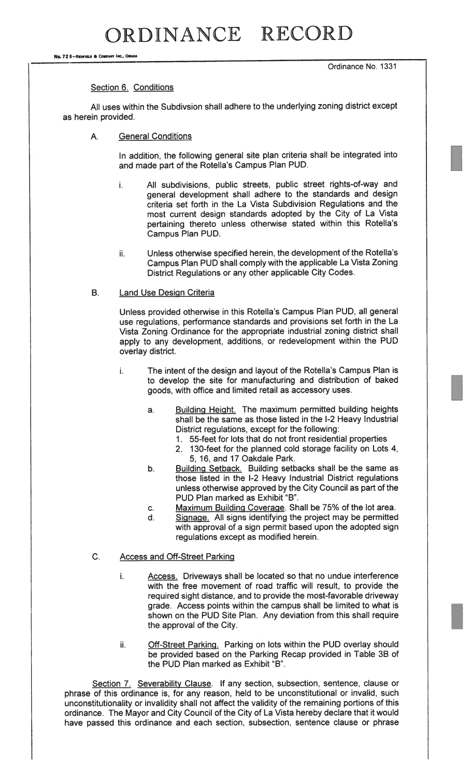No. 72 8-REDFIELD & COMPANY INC., OMAHA

Ordinance No. 1331

## Section 6. Conditions

All uses within the Subdivsion shall adhere to the underlying zoning district excep<sup>t</sup> as herein provided.

A. General Conditions

In addition, the following genera<sup>l</sup> site <sup>p</sup>lan criteria shall be integrated into and made par<sup>t</sup> of the Rotella's Campus Plan PUD.

- i. All subdivisions, public streets, public street rights-of-way and genera<sup>l</sup> development shall adhere to the standards and design criteria set forth in the La Vista Subdivision Regulations and the most current design standards adopted by the City of La Vista pertaining thereto unless otherwise stated within this Rotella's Campus Plan PUD.
- ii. Unless otherwise specified herein, the development of the Rotella's Campus Plan PUD shall comply with the applicable La Vista Zoning District Regulations or any other applicable City Codes.
- B. Land Use Design Criteria

Unless provided otherwise in this Rotella's Campus Plan PUD, all genera<sup>l</sup> use regulations, performance standards and provisions set forth in the La Vista Zoning Ordinance for the appropriate industrial zoning district shall apply to any development, additions, or redevelopment within the PUD overlay district.

- i. The intent of the design and layout of the Rotella's Campus Plan is to develop the site for manufacturing and distribution of baked goods, with office and limited retail as accessory uses.
	- a. **Building Height.** The maximum permitted building heights shall be the same as those listed in the 1-2 Heavy Industrial District regulations, excep<sup>t</sup> for the following:
		- 1. 55-feet for lots that do not front residential properties
		- 2. 130-feet for the planned cold storage facility on Lots 4, 5, 16, and 17 Oakdale Park.
	- b. Building Setback. Building setbacks shall be the same as those listed in the 1-2 Heavy Industrial District regulations unless otherwise approved by the City Council as par<sup>t</sup> of the PUD Plan marked as Exhibit "B".
	- c. Maximum Building Coverage. Shall be 75% of the lot area.
	- d. Signage. All signs identifying the project may be permitted with approval of <sup>a</sup> sign permit based upon the adopted sign regulations excep<sup>t</sup> as modified herein.

## C. Access and Off-Street Parking

- Access. Driveways shall be located so that no undue interference i. with the free movement of road traffic will result, to provide the required sight distance, and to provide the most-favorable driveway grade. Access points within the campus shall be limited to what is shown on the PUD Site Plan. Any deviation from this shall require the approval of the City.
- ii. Off-Street Parking. Parking on lots within the PUD overlay should be provided based on the Parking Recap provided in Table 3B of the PUD Plan marked as Exhibit "B".

Section 7. Severability Clause. If any section, subsection, sentence, clause or <sup>p</sup>hrase of this ordinance is, for any reason, held to be unconstitutional or invalid, such unconstitutionality or invalidity shall not affect the validity of the remaining portions of this ordinance. The Mayor and City Council of the City of La Vista hereby declare that it would have passed this ordinance and each section, subsection, sentence clause or phrase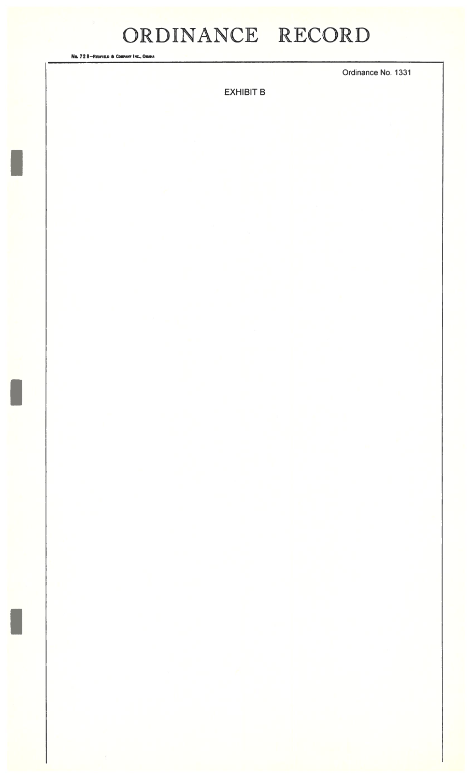No. 728-REDFIELD & COMPANY INC., OMAHA

Ordinance No. 1331

**EXHIBIT B**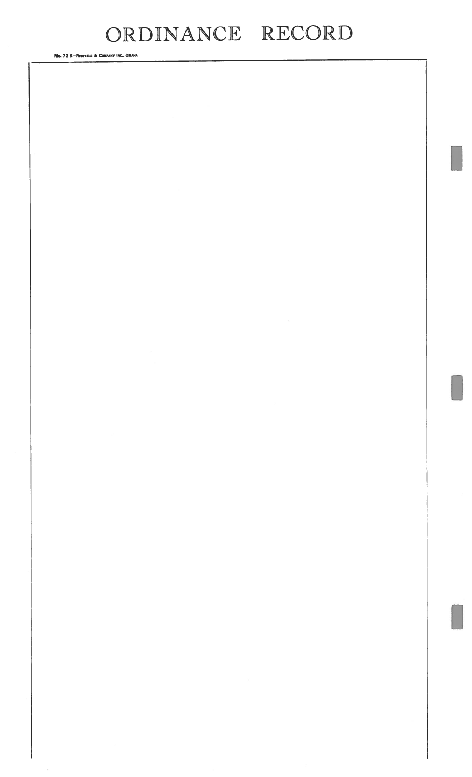No. 728-REDFIELD & COMPANY INC., OMAHA

 $\epsilon$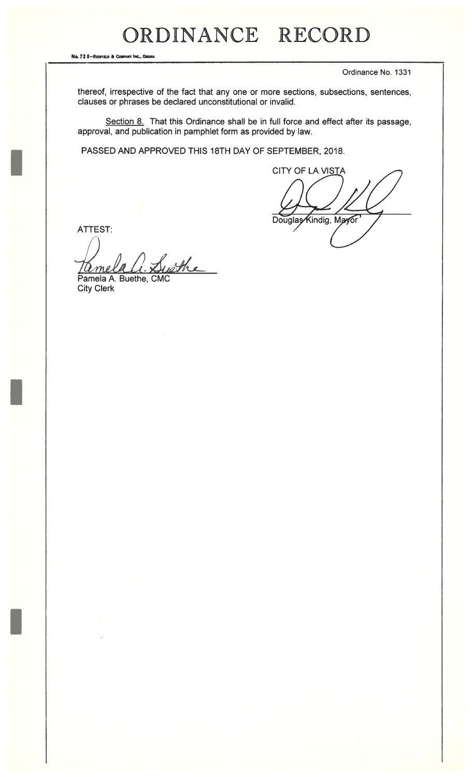No. 72 8-REDFIELD & COMPANY INC., OMAHA

Ordinance No. 1331

thereof, irrespective of the fact that any one or more sections, subsections, sentences, clauses or phrases be declared unconstitutional or invalid.

Section 8. That this Ordinance shall be in full force and effect after its passage, approval, and publication in pamphlet form as provided by law.

PASSED AND APPROVED THIS 18TH DAY OF SEPTEMBER, 2018.

CITY OF LA VISTA Douglas Kindig, Mayor

ATTEST:

Swithe me

Pamela A. Buethe, CMC City Clerk